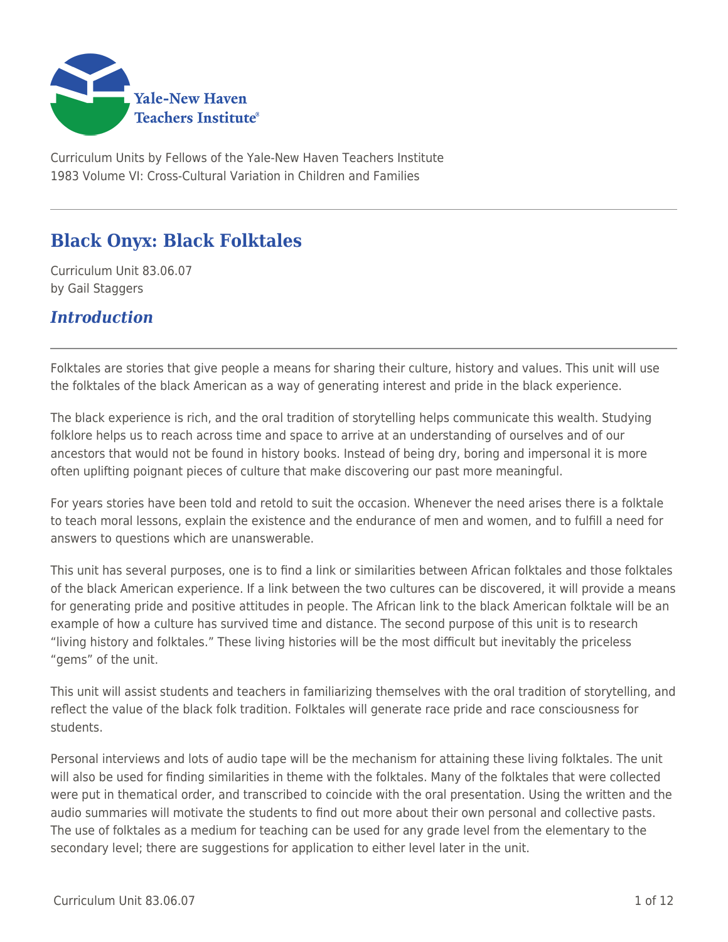

Curriculum Units by Fellows of the Yale-New Haven Teachers Institute 1983 Volume VI: Cross-Cultural Variation in Children and Families

# **Black Onyx: Black Folktales**

Curriculum Unit 83.06.07 by Gail Staggers

# *Introduction*

Folktales are stories that give people a means for sharing their culture, history and values. This unit will use the folktales of the black American as a way of generating interest and pride in the black experience.

The black experience is rich, and the oral tradition of storytelling helps communicate this wealth. Studying folklore helps us to reach across time and space to arrive at an understanding of ourselves and of our ancestors that would not be found in history books. Instead of being dry, boring and impersonal it is more often uplifting poignant pieces of culture that make discovering our past more meaningful.

For years stories have been told and retold to suit the occasion. Whenever the need arises there is a folktale to teach moral lessons, explain the existence and the endurance of men and women, and to fulfill a need for answers to questions which are unanswerable.

This unit has several purposes, one is to find a link or similarities between African folktales and those folktales of the black American experience. If a link between the two cultures can be discovered, it will provide a means for generating pride and positive attitudes in people. The African link to the black American folktale will be an example of how a culture has survived time and distance. The second purpose of this unit is to research "living history and folktales." These living histories will be the most difficult but inevitably the priceless "gems" of the unit.

This unit will assist students and teachers in familiarizing themselves with the oral tradition of storytelling, and reflect the value of the black folk tradition. Folktales will generate race pride and race consciousness for students.

Personal interviews and lots of audio tape will be the mechanism for attaining these living folktales. The unit will also be used for finding similarities in theme with the folktales. Many of the folktales that were collected were put in thematical order, and transcribed to coincide with the oral presentation. Using the written and the audio summaries will motivate the students to find out more about their own personal and collective pasts. The use of folktales as a medium for teaching can be used for any grade level from the elementary to the secondary level; there are suggestions for application to either level later in the unit.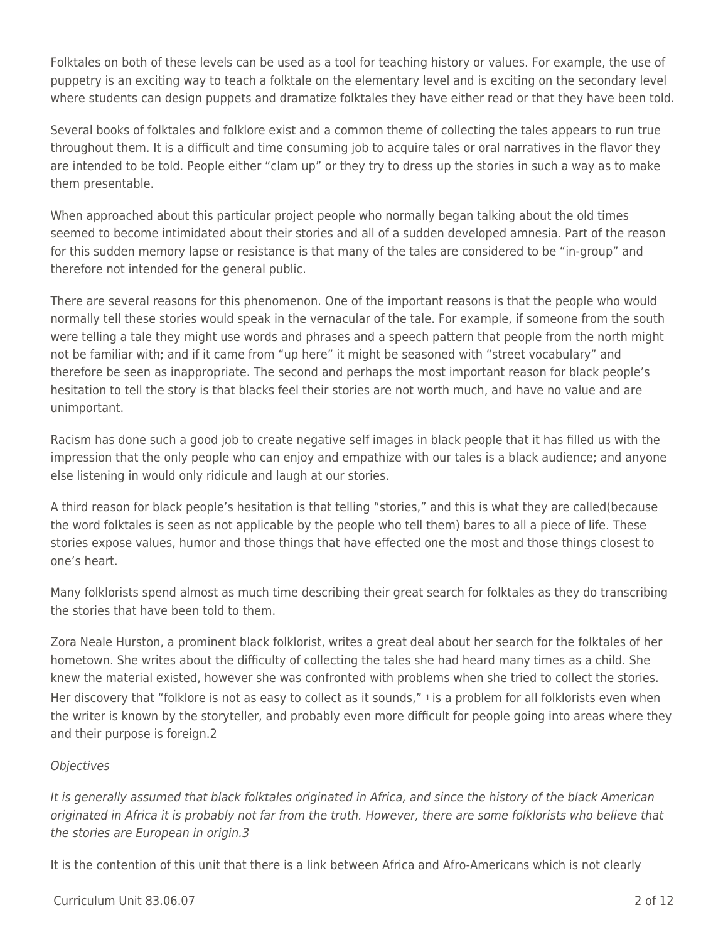Folktales on both of these levels can be used as a tool for teaching history or values. For example, the use of puppetry is an exciting way to teach a folktale on the elementary level and is exciting on the secondary level where students can design puppets and dramatize folktales they have either read or that they have been told.

Several books of folktales and folklore exist and a common theme of collecting the tales appears to run true throughout them. It is a difficult and time consuming job to acquire tales or oral narratives in the flavor they are intended to be told. People either "clam up" or they try to dress up the stories in such a way as to make them presentable.

When approached about this particular project people who normally began talking about the old times seemed to become intimidated about their stories and all of a sudden developed amnesia. Part of the reason for this sudden memory lapse or resistance is that many of the tales are considered to be "in-group" and therefore not intended for the general public.

There are several reasons for this phenomenon. One of the important reasons is that the people who would normally tell these stories would speak in the vernacular of the tale. For example, if someone from the south were telling a tale they might use words and phrases and a speech pattern that people from the north might not be familiar with; and if it came from "up here" it might be seasoned with "street vocabulary" and therefore be seen as inappropriate. The second and perhaps the most important reason for black people's hesitation to tell the story is that blacks feel their stories are not worth much, and have no value and are unimportant.

Racism has done such a good job to create negative self images in black people that it has filled us with the impression that the only people who can enjoy and empathize with our tales is a black audience; and anyone else listening in would only ridicule and laugh at our stories.

A third reason for black people's hesitation is that telling "stories," and this is what they are called(because the word folktales is seen as not applicable by the people who tell them) bares to all a piece of life. These stories expose values, humor and those things that have effected one the most and those things closest to one's heart.

Many folklorists spend almost as much time describing their great search for folktales as they do transcribing the stories that have been told to them.

Zora Neale Hurston, a prominent black folklorist, writes a great deal about her search for the folktales of her hometown. She writes about the difficulty of collecting the tales she had heard many times as a child. She knew the material existed, however she was confronted with problems when she tried to collect the stories. Her discovery that "folklore is not as easy to collect as it sounds," 1 is a problem for all folklorists even when the writer is known by the storyteller, and probably even more difficult for people going into areas where they and their purpose is foreign.2

### **Objectives**

It is generally assumed that black folktales originated in Africa, and since the history of the black American originated in Africa it is probably not far from the truth. However, there are some folklorists who believe that the stories are European in origin.3

It is the contention of this unit that there is a link between Africa and Afro-Americans which is not clearly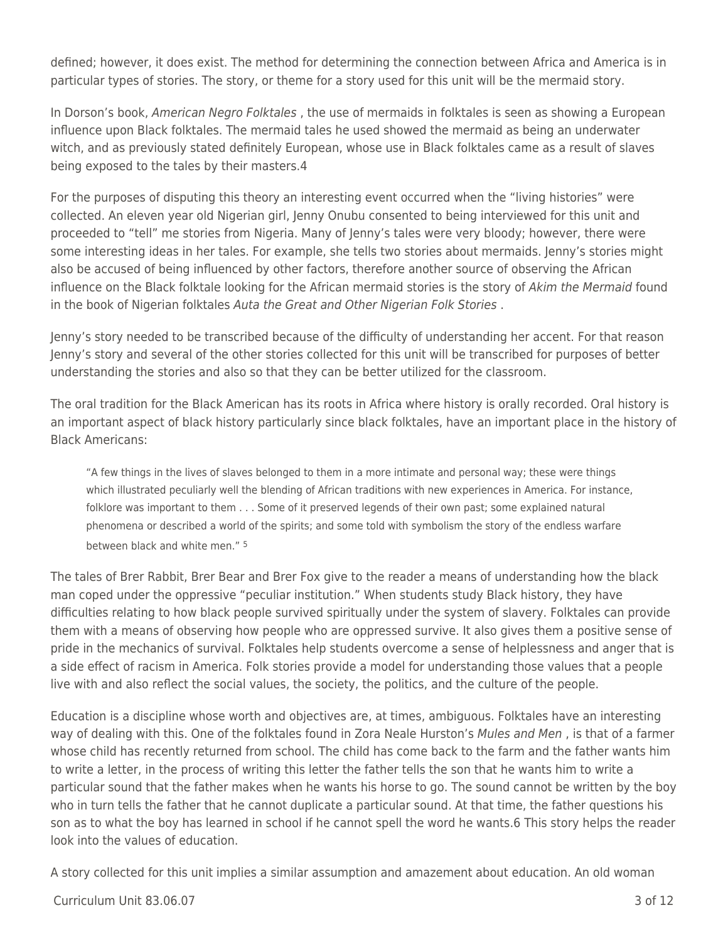defined; however, it does exist. The method for determining the connection between Africa and America is in particular types of stories. The story, or theme for a story used for this unit will be the mermaid story.

In Dorson's book, American Negro Folktales, the use of mermaids in folktales is seen as showing a European influence upon Black folktales. The mermaid tales he used showed the mermaid as being an underwater witch, and as previously stated definitely European, whose use in Black folktales came as a result of slaves being exposed to the tales by their masters.4

For the purposes of disputing this theory an interesting event occurred when the "living histories" were collected. An eleven year old Nigerian girl, Jenny Onubu consented to being interviewed for this unit and proceeded to "tell" me stories from Nigeria. Many of Jenny's tales were very bloody; however, there were some interesting ideas in her tales. For example, she tells two stories about mermaids. Jenny's stories might also be accused of being influenced by other factors, therefore another source of observing the African influence on the Black folktale looking for the African mermaid stories is the story of Akim the Mermaid found in the book of Nigerian folktales Auta the Great and Other Nigerian Folk Stories .

Jenny's story needed to be transcribed because of the difficulty of understanding her accent. For that reason Jenny's story and several of the other stories collected for this unit will be transcribed for purposes of better understanding the stories and also so that they can be better utilized for the classroom.

The oral tradition for the Black American has its roots in Africa where history is orally recorded. Oral history is an important aspect of black history particularly since black folktales, have an important place in the history of Black Americans:

"A few things in the lives of slaves belonged to them in a more intimate and personal way; these were things which illustrated peculiarly well the blending of African traditions with new experiences in America. For instance, folklore was important to them . . . Some of it preserved legends of their own past; some explained natural phenomena or described a world of the spirits; and some told with symbolism the story of the endless warfare between black and white men." 5

The tales of Brer Rabbit, Brer Bear and Brer Fox give to the reader a means of understanding how the black man coped under the oppressive "peculiar institution." When students study Black history, they have difficulties relating to how black people survived spiritually under the system of slavery. Folktales can provide them with a means of observing how people who are oppressed survive. It also gives them a positive sense of pride in the mechanics of survival. Folktales help students overcome a sense of helplessness and anger that is a side effect of racism in America. Folk stories provide a model for understanding those values that a people live with and also reflect the social values, the society, the politics, and the culture of the people.

Education is a discipline whose worth and objectives are, at times, ambiguous. Folktales have an interesting way of dealing with this. One of the folktales found in Zora Neale Hurston's Mules and Men, is that of a farmer whose child has recently returned from school. The child has come back to the farm and the father wants him to write a letter, in the process of writing this letter the father tells the son that he wants him to write a particular sound that the father makes when he wants his horse to go. The sound cannot be written by the boy who in turn tells the father that he cannot duplicate a particular sound. At that time, the father questions his son as to what the boy has learned in school if he cannot spell the word he wants.6 This story helps the reader look into the values of education.

A story collected for this unit implies a similar assumption and amazement about education. An old woman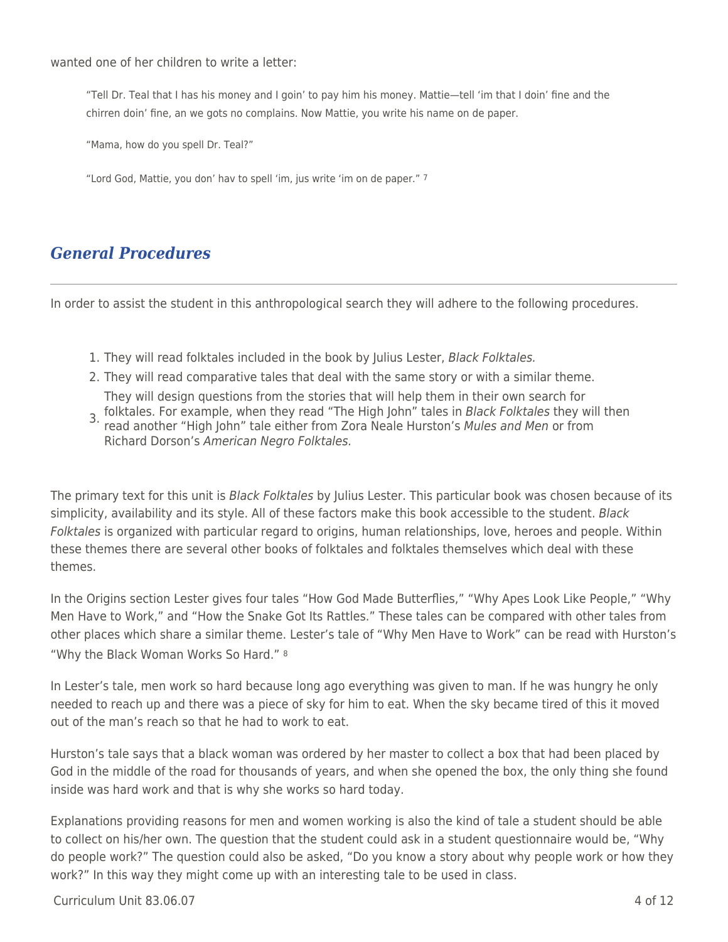wanted one of her children to write a letter:

"Tell Dr. Teal that I has his money and I goin' to pay him his money. Mattie—tell 'im that I doin' fine and the chirren doin' fine, an we gots no complains. Now Mattie, you write his name on de paper.

"Mama, how do you spell Dr. Teal?"

"Lord God, Mattie, you don' hav to spell 'im, jus write 'im on de paper." 7

## *General Procedures*

In order to assist the student in this anthropological search they will adhere to the following procedures.

- 1. They will read folktales included in the book by Julius Lester, Black Folktales.
- 2. They will read comparative tales that deal with the same story or with a similar theme. They will design questions from the stories that will help them in their own search for
- 3. folktales. For example, when they read "The High John" tales in *Black Folktales* they will then<br>3. read another "High John" tale either from Zera Naale Hurstan's Mulse and Man or from read another "High John" tale either from Zora Neale Hurston's Mules and Men or from Richard Dorson's American Negro Folktales.

The primary text for this unit is *Black Folktales* by Julius Lester. This particular book was chosen because of its simplicity, availability and its style. All of these factors make this book accessible to the student. Black Folktales is organized with particular regard to origins, human relationships, love, heroes and people. Within these themes there are several other books of folktales and folktales themselves which deal with these themes.

In the Origins section Lester gives four tales "How God Made Butterflies," "Why Apes Look Like People," "Why Men Have to Work," and "How the Snake Got Its Rattles." These tales can be compared with other tales from other places which share a similar theme. Lester's tale of "Why Men Have to Work" can be read with Hurston's "Why the Black Woman Works So Hard." <sup>8</sup>

In Lester's tale, men work so hard because long ago everything was given to man. If he was hungry he only needed to reach up and there was a piece of sky for him to eat. When the sky became tired of this it moved out of the man's reach so that he had to work to eat.

Hurston's tale says that a black woman was ordered by her master to collect a box that had been placed by God in the middle of the road for thousands of years, and when she opened the box, the only thing she found inside was hard work and that is why she works so hard today.

Explanations providing reasons for men and women working is also the kind of tale a student should be able to collect on his/her own. The question that the student could ask in a student questionnaire would be, "Why do people work?" The question could also be asked, "Do you know a story about why people work or how they work?" In this way they might come up with an interesting tale to be used in class.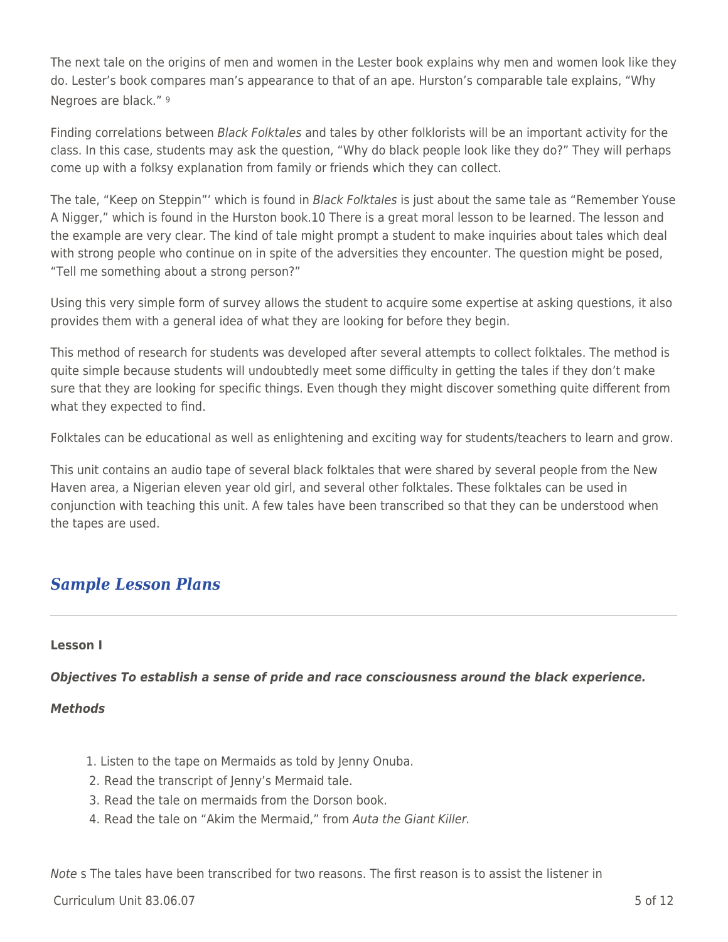The next tale on the origins of men and women in the Lester book explains why men and women look like they do. Lester's book compares man's appearance to that of an ape. Hurston's comparable tale explains, "Why Negroes are black." <sup>9</sup>

Finding correlations between Black Folktales and tales by other folklorists will be an important activity for the class. In this case, students may ask the question, "Why do black people look like they do?" They will perhaps come up with a folksy explanation from family or friends which they can collect.

The tale, "Keep on Steppin"' which is found in *Black Folktales* is just about the same tale as "Remember Youse A Nigger," which is found in the Hurston book.10 There is a great moral lesson to be learned. The lesson and the example are very clear. The kind of tale might prompt a student to make inquiries about tales which deal with strong people who continue on in spite of the adversities they encounter. The question might be posed, "Tell me something about a strong person?"

Using this very simple form of survey allows the student to acquire some expertise at asking questions, it also provides them with a general idea of what they are looking for before they begin.

This method of research for students was developed after several attempts to collect folktales. The method is quite simple because students will undoubtedly meet some difficulty in getting the tales if they don't make sure that they are looking for specific things. Even though they might discover something quite different from what they expected to find.

Folktales can be educational as well as enlightening and exciting way for students/teachers to learn and grow.

This unit contains an audio tape of several black folktales that were shared by several people from the New Haven area, a Nigerian eleven year old girl, and several other folktales. These folktales can be used in conjunction with teaching this unit. A few tales have been transcribed so that they can be understood when the tapes are used.

# *Sample Lesson Plans*

#### **Lesson I**

*Objectives To establish a sense of pride and race consciousness around the black experience.*

### *Methods*

- 1. Listen to the tape on Mermaids as told by Jenny Onuba.
- 2. Read the transcript of Jenny's Mermaid tale.
- 3. Read the tale on mermaids from the Dorson book.
- 4. Read the tale on "Akim the Mermaid," from Auta the Giant Killer.

Note s The tales have been transcribed for two reasons. The first reason is to assist the listener in

 $C$ urriculum Unit 83.06.07  $\qquad \qquad$  5 of 12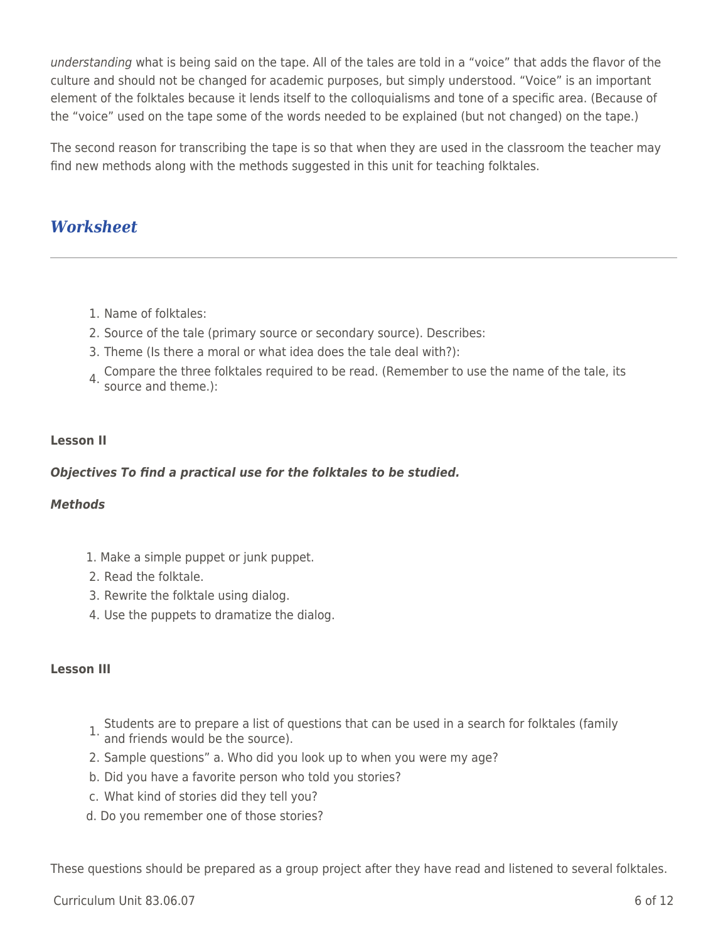understanding what is being said on the tape. All of the tales are told in a "voice" that adds the flavor of the culture and should not be changed for academic purposes, but simply understood. "Voice" is an important element of the folktales because it lends itself to the colloquialisms and tone of a specific area. (Because of the "voice" used on the tape some of the words needed to be explained (but not changed) on the tape.)

The second reason for transcribing the tape is so that when they are used in the classroom the teacher may find new methods along with the methods suggested in this unit for teaching folktales.

# *Worksheet*

- 1. Name of folktales:
- 2. Source of the tale (primary source or secondary source). Describes:
- 3. Theme (Is there a moral or what idea does the tale deal with?):
- 4. Compare the three folktales required to be read. (Remember to use the name of the tale, its source and theme.):

### **Lesson II**

### *Objectives To find a practical use for the folktales to be studied.*

#### *Methods*

- 1. Make a simple puppet or junk puppet.
- 2. Read the folktale.
- 3. Rewrite the folktale using dialog.
- 4. Use the puppets to dramatize the dialog.

#### **Lesson III**

- 1. Students are to prepare a list of questions that can be used in a search for folktales (family and friends would be the source).
- 
- 2. Sample questions" a. Who did you look up to when you were my age?
- b. Did you have a favorite person who told you stories?
- c. What kind of stories did they tell you?
- d. Do you remember one of those stories?

These questions should be prepared as a group project after they have read and listened to several folktales.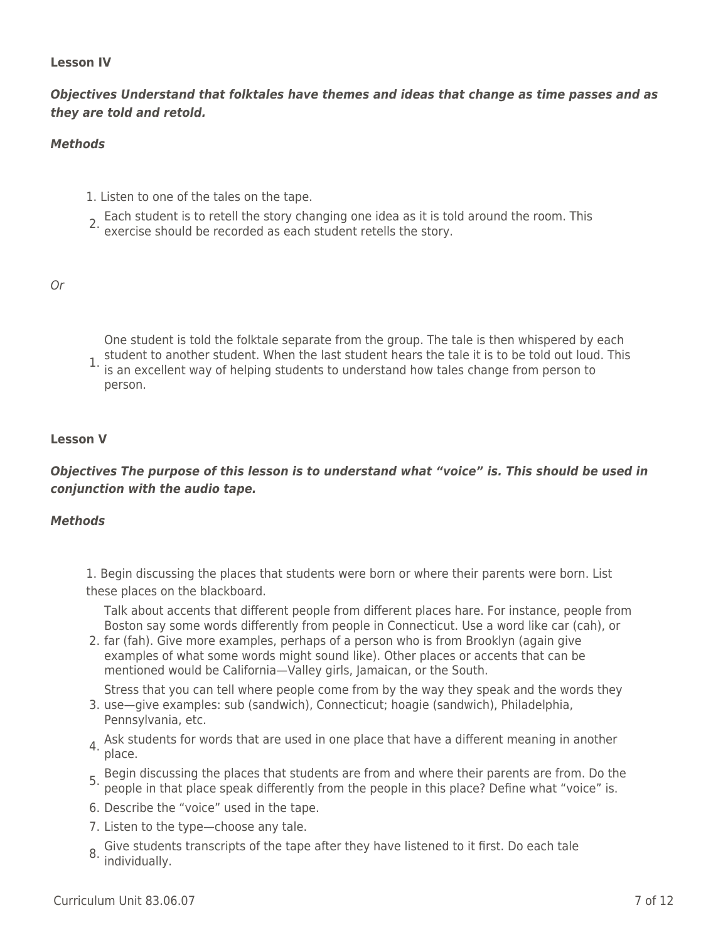#### **Lesson IV**

*Objectives Understand that folktales have themes and ideas that change as time passes and as they are told and retold.*

#### *Methods*

- 1. Listen to one of the tales on the tape.
- 2. Each student is to retell the story changing one idea as it is told around the room. This exercise should be recorded as each student retells the story.

#### Or

One student is told the folktale separate from the group. The tale is then whispered by each student to another student. When the last student hears the tale it is to be told out loud. This

1. is an excellent way of helping students to understand how tales change from person to person.

#### **Lesson V**

### *Objectives The purpose of this lesson is to understand what "voice" is. This should be used in conjunction with the audio tape.*

#### *Methods*

1. Begin discussing the places that students were born or where their parents were born. List these places on the blackboard.

Talk about accents that different people from different places hare. For instance, people from Boston say some words differently from people in Connecticut. Use a word like car (cah), or

2. far (fah). Give more examples, perhaps of a person who is from Brooklyn (again give examples of what some words might sound like). Other places or accents that can be mentioned would be California—Valley girls, Jamaican, or the South.

Stress that you can tell where people come from by the way they speak and the words they

- 3. use—give examples: sub (sandwich), Connecticut; hoagie (sandwich), Philadelphia, Pennsylvania, etc.
- 4. Ask students for words that are used in one place that have a different meaning in another place.
- 5. Begin discussing the places that students are from and where their parents are from. Do the people in that place speak differently from the people in this place? Define what "voice" is.
- 6. Describe the "voice" used in the tape.
- 7. Listen to the type—choose any tale.
- 8. Give students transcripts of the tape after they have listened to it first. Do each tale individually.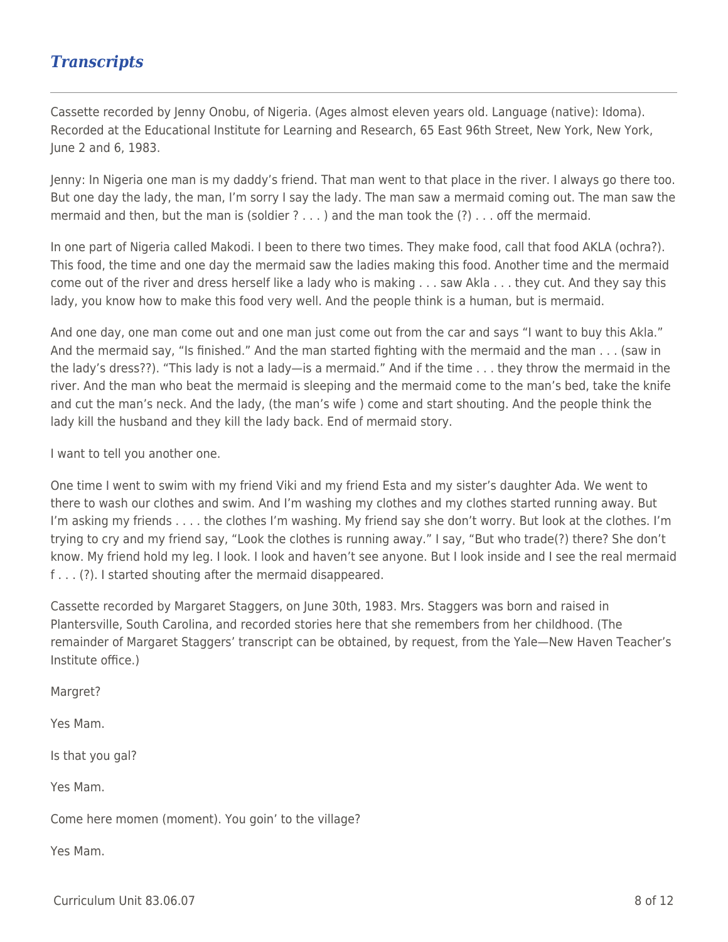# *Transcripts*

Cassette recorded by Jenny Onobu, of Nigeria. (Ages almost eleven years old. Language (native): Idoma). Recorded at the Educational Institute for Learning and Research, 65 East 96th Street, New York, New York, June 2 and 6, 1983.

Jenny: In Nigeria one man is my daddy's friend. That man went to that place in the river. I always go there too. But one day the lady, the man, I'm sorry I say the lady. The man saw a mermaid coming out. The man saw the mermaid and then, but the man is (soldier  $? \ldots$ ) and the man took the  $(?) \ldots$  off the mermaid.

In one part of Nigeria called Makodi. I been to there two times. They make food, call that food AKLA (ochra?). This food, the time and one day the mermaid saw the ladies making this food. Another time and the mermaid come out of the river and dress herself like a lady who is making . . . saw Akla . . . they cut. And they say this lady, you know how to make this food very well. And the people think is a human, but is mermaid.

And one day, one man come out and one man just come out from the car and says "I want to buy this Akla." And the mermaid say, "Is finished." And the man started fighting with the mermaid and the man . . . (saw in the lady's dress??). "This lady is not a lady—is a mermaid." And if the time . . . they throw the mermaid in the river. And the man who beat the mermaid is sleeping and the mermaid come to the man's bed, take the knife and cut the man's neck. And the lady, (the man's wife ) come and start shouting. And the people think the lady kill the husband and they kill the lady back. End of mermaid story.

I want to tell you another one.

One time I went to swim with my friend Viki and my friend Esta and my sister's daughter Ada. We went to there to wash our clothes and swim. And I'm washing my clothes and my clothes started running away. But I'm asking my friends . . . . the clothes I'm washing. My friend say she don't worry. But look at the clothes. I'm trying to cry and my friend say, "Look the clothes is running away." I say, "But who trade(?) there? She don't know. My friend hold my leg. I look. I look and haven't see anyone. But I look inside and I see the real mermaid f . . . (?). I started shouting after the mermaid disappeared.

Cassette recorded by Margaret Staggers, on June 30th, 1983. Mrs. Staggers was born and raised in Plantersville, South Carolina, and recorded stories here that she remembers from her childhood. (The remainder of Margaret Staggers' transcript can be obtained, by request, from the Yale—New Haven Teacher's Institute office.)

Margret?

Yes Mam.

Is that you gal?

Yes Mam.

Come here momen (moment). You goin' to the village?

Yes Mam.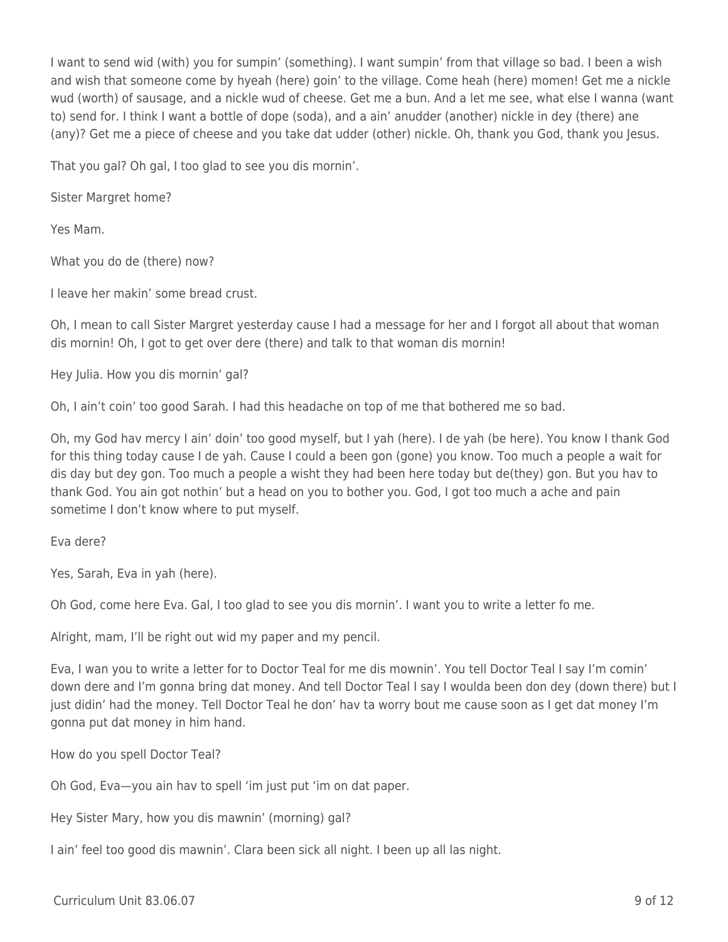I want to send wid (with) you for sumpin' (something). I want sumpin' from that village so bad. I been a wish and wish that someone come by hyeah (here) goin' to the village. Come heah (here) momen! Get me a nickle wud (worth) of sausage, and a nickle wud of cheese. Get me a bun. And a let me see, what else I wanna (want to) send for. I think I want a bottle of dope (soda), and a ain' anudder (another) nickle in dey (there) ane (any)? Get me a piece of cheese and you take dat udder (other) nickle. Oh, thank you God, thank you Jesus.

That you gal? Oh gal, I too glad to see you dis mornin'.

Sister Margret home?

Yes Mam.

What you do de (there) now?

I leave her makin' some bread crust.

Oh, I mean to call Sister Margret yesterday cause I had a message for her and I forgot all about that woman dis mornin! Oh, I got to get over dere (there) and talk to that woman dis mornin!

Hey Julia. How you dis mornin' gal?

Oh, I ain't coin' too good Sarah. I had this headache on top of me that bothered me so bad.

Oh, my God hav mercy I ain' doin' too good myself, but I yah (here). I de yah (be here). You know I thank God for this thing today cause I de yah. Cause I could a been gon (gone) you know. Too much a people a wait for dis day but dey gon. Too much a people a wisht they had been here today but de(they) gon. But you hav to thank God. You ain got nothin' but a head on you to bother you. God, I got too much a ache and pain sometime I don't know where to put myself.

Eva dere?

Yes, Sarah, Eva in yah (here).

Oh God, come here Eva. Gal, I too glad to see you dis mornin'. I want you to write a letter fo me.

Alright, mam, I'll be right out wid my paper and my pencil.

Eva, I wan you to write a letter for to Doctor Teal for me dis mownin'. You tell Doctor Teal I say I'm comin' down dere and I'm gonna bring dat money. And tell Doctor Teal I say I woulda been don dey (down there) but I just didin' had the money. Tell Doctor Teal he don' hav ta worry bout me cause soon as I get dat money I'm gonna put dat money in him hand.

How do you spell Doctor Teal?

Oh God, Eva—you ain hav to spell 'im just put 'im on dat paper.

Hey Sister Mary, how you dis mawnin' (morning) gal?

I ain' feel too good dis mawnin'. Clara been sick all night. I been up all las night.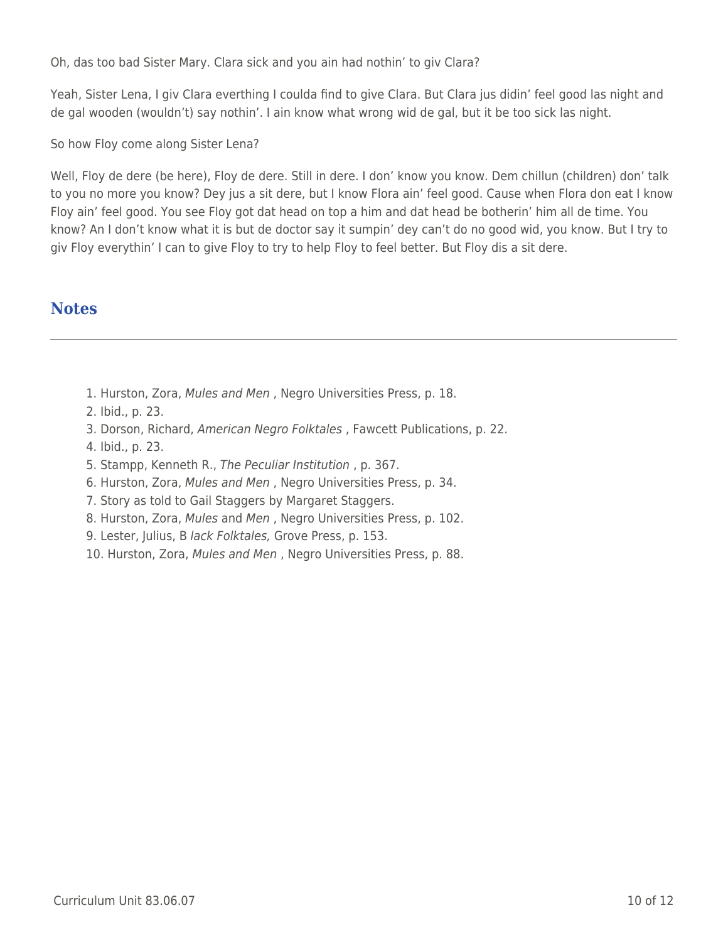Oh, das too bad Sister Mary. Clara sick and you ain had nothin' to giv Clara?

Yeah, Sister Lena, I giv Clara everthing I coulda find to give Clara. But Clara jus didin' feel good las night and de gal wooden (wouldn't) say nothin'. I ain know what wrong wid de gal, but it be too sick las night.

So how Floy come along Sister Lena?

Well, Floy de dere (be here), Floy de dere. Still in dere. I don' know you know. Dem chillun (children) don' talk to you no more you know? Dey jus a sit dere, but I know Flora ain' feel good. Cause when Flora don eat I know Floy ain' feel good. You see Floy got dat head on top a him and dat head be botherin' him all de time. You know? An I don't know what it is but de doctor say it sumpin' dey can't do no good wid, you know. But I try to giv Floy everythin' I can to give Floy to try to help Floy to feel better. But Floy dis a sit dere.

### **Notes**

- 1. Hurston, Zora, Mules and Men , Negro Universities Press, p. 18.
- 2. Ibid., p. 23.
- 3. Dorson, Richard, American Negro Folktales , Fawcett Publications, p. 22.
- 4. Ibid., p. 23.
- 5. Stampp, Kenneth R., The Peculiar Institution , p. 367.
- 6. Hurston, Zora, Mules and Men , Negro Universities Press, p. 34.
- 7. Story as told to Gail Staggers by Margaret Staggers.
- 8. Hurston, Zora, Mules and Men , Negro Universities Press, p. 102.
- 9. Lester, Julius, B lack Folktales, Grove Press, p. 153.
- 10. Hurston, Zora, Mules and Men , Negro Universities Press, p. 88.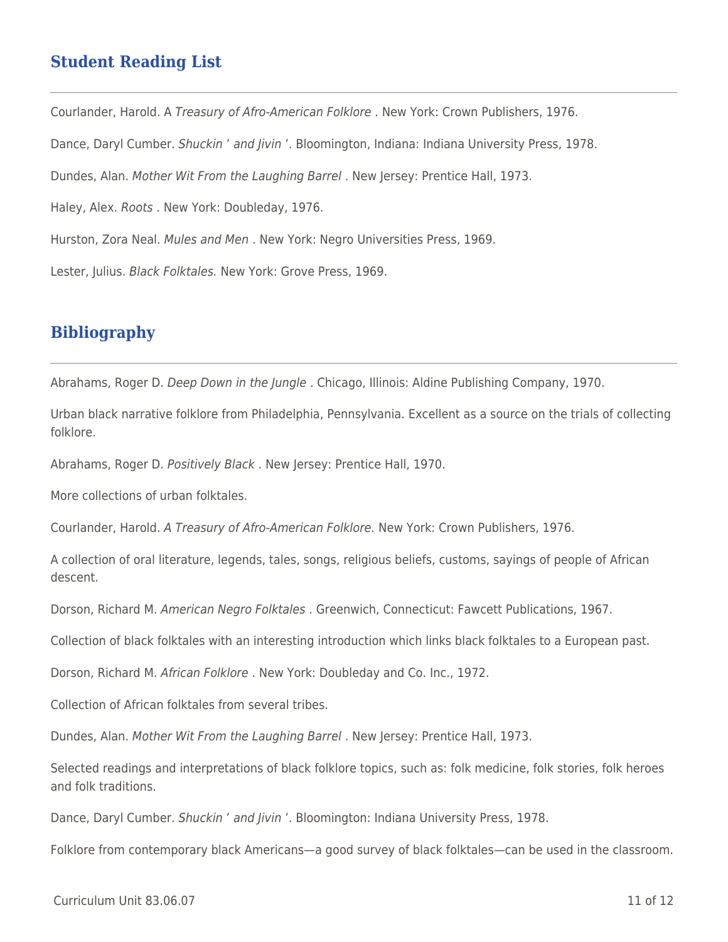### **Student Reading List**

Courlander, Harold. A Treasury of Afro-American Folklore . New York: Crown Publishers, 1976. Dance, Daryl Cumber. Shuckin ' and Jivin '. Bloomington, Indiana: Indiana University Press, 1978. Dundes, Alan. Mother Wit From the Laughing Barrel . New Jersey: Prentice Hall, 1973. Haley, Alex. Roots . New York: Doubleday, 1976. Hurston, Zora Neal. Mules and Men . New York: Negro Universities Press, 1969. Lester, Julius. Black Folktales. New York: Grove Press, 1969.

## **Bibliography**

Abrahams, Roger D. Deep Down in the Jungle . Chicago, Illinois: Aldine Publishing Company, 1970.

Urban black narrative folklore from Philadelphia, Pennsylvania. Excellent as a source on the trials of collecting folklore.

Abrahams, Roger D. Positively Black . New Jersey: Prentice Hall, 1970.

More collections of urban folktales.

Courlander, Harold. A Treasury of Afro-American Folklore. New York: Crown Publishers, 1976.

A collection of oral literature, legends, tales, songs, religious beliefs, customs, sayings of people of African descent.

Dorson, Richard M. American Negro Folktales . Greenwich, Connecticut: Fawcett Publications, 1967.

Collection of black folktales with an interesting introduction which links black folktales to a European past.

Dorson, Richard M. African Folklore . New York: Doubleday and Co. Inc., 1972.

Collection of African folktales from several tribes.

Dundes, Alan. Mother Wit From the Laughing Barrel . New Jersey: Prentice Hall, 1973.

Selected readings and interpretations of black folklore topics, such as: folk medicine, folk stories, folk heroes and folk traditions.

Dance, Daryl Cumber. Shuckin ' and Jivin '. Bloomington: Indiana University Press, 1978.

Folklore from contemporary black Americans—a good survey of black folktales—can be used in the classroom.